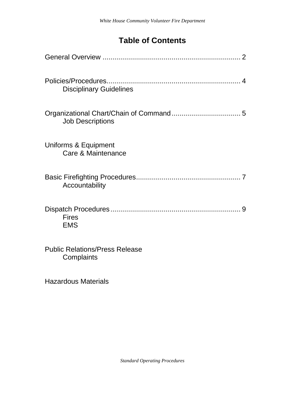# **Table of Contents**

| 4<br><b>Disciplinary Guidelines</b>                 |
|-----------------------------------------------------|
| <b>Job Descriptions</b>                             |
| Uniforms & Equipment<br>Care & Maintenance          |
| Accountability                                      |
| 9<br><b>Fires</b><br><b>EMS</b>                     |
| <b>Public Relations/Press Release</b><br>Complaints |
| <b>Hazardous Materials</b>                          |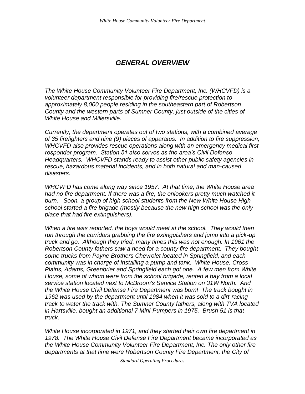# *GENERAL OVERVIEW*

*The White House Community Volunteer Fire Department, Inc. (WHCVFD) is a volunteer department responsible for providing fire/rescue protection to approximately 8,000 people residing in the southeastern part of Robertson County and the western parts of Sumner County, just outside of the cities of White House and Millersville.*

*Currently, the department operates out of two stations, with a combined average of 35 firefighters and nine (9) pieces of apparatus. In addition to fire suppression, WHCVFD also provides rescue operations along with an emergency medical first responder program. Station 51 also serves as the area's Civil Defense Headquarters. WHCVFD stands ready to assist other public safety agencies in rescue, hazardous material incidents, and in both natural and man-caused disasters.*

*WHCVFD has come along way since 1957. At that time, the White House area had no fire department. If there was a fire, the onlookers pretty much watched it burn. Soon, a group of high school students from the New White House High school started a fire brigade (mostly because the new high school was the only place that had fire extinguishers).*

*When a fire was reported, the boys would meet at the school. They would then run through the corridors grabbing the fire extinguishers and jump into a pick-up truck and go. Although they tried, many times this was not enough. In 1961 the Robertson County fathers saw a need for a county fire department. They bought some trucks from Payne Brothers Chevrolet located in Springfield, and each community was in charge of installing a pump and tank. White House, Cross Plains, Adams, Greenbrier and Springfield each got one. A few men from White House, some of whom were from the school brigade, rented a bay from a local service station located next to McBroom's Service Station on 31W North. And the White House Civil Defense Fire Department was born! The truck bought in 1962 was used by the department until 1984 when it was sold to a dirt-racing track to water the track with. The Sumner County fathers, along with TVA located in Hartsville, bought an additional 7 Mini-Pumpers in 1975. Brush 51 is that truck.* 

*White House incorporated in 1971, and they started their own fire department in 1978. The White House Civil Defense Fire Department became incorporated as the White House Community Volunteer Fire Department, Inc. The only other fire departments at that time were Robertson County Fire Department, the City of* 

*Standard Operating Procedures*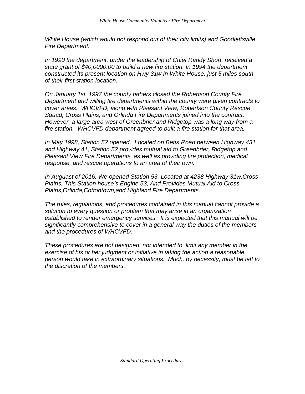*White House (which would not respond out of their city limits) and Goodlettsville Fire Department.* 

*In 1990 the department, under the leadership of Chief Randy Short, received a state grant of \$40,0000.00 to build a new fire station. In 1994 the department constructed its present location on Hwy 31w In White House, just 5 miles south of their first station location.* 

*On January 1st, 1997 the county fathers closed the Robertson County Fire Department and willing fire departments within the county were given contracts to cover areas. WHCVFD, along with Pleasant View, Robertson County Rescue Squad, Cross Plains, and Orlinda Fire Departments joined into the contract. However, a large area west of Greenbrier and Ridgetop was a long way from a fire station. WHCVFD department agreed to built a fire station for that area.* 

*In May 1998, Station 52 opened. Located on Betts Road between Highway 431 and Highway 41, Station 52 provides mutual aid to Greenbrier, Ridgetop and Pleasant View Fire Departments, as well as providing fire protection, medical response, and rescue operations to an area of their own.*

*In Auguast of 2016, We opened Station 53, Located at 4238 Highway 31w,Cross Plains, This Station house's Engine 53, And Provides Mutual Aid to Cross Plains,Orlinda,Cottontown,and Highland Fire Departments.*

*The rules, regulations, and procedures contained in this manual cannot provide a solution to every question or problem that may arise in an organization established to render emergency services. It is expected that this manual will be significantly comprehensive to cover in a general way the duties of the members and the procedures of WHCVFD.*

*These procedures are not designed, nor intended to, limit any member in the exercise of his or her judgment or initiative in taking the action a reasonable person would take in extraordinary situations. Much, by necessity, must be left to the discretion of the members.*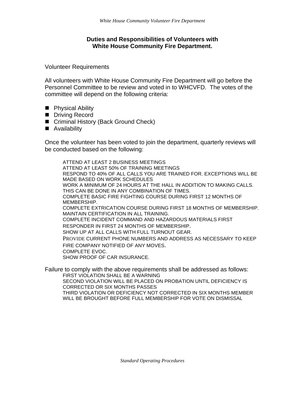### **Duties and Responsibilities of Volunteers with White House Community Fire Department.**

Volunteer Requirements

All volunteers with White House Community Fire Department will go before the Personnel Committee to be review and voted in to WHCVFD. The votes of the committee will depend on the following criteria:

- Physical Ability
- Driving Record
- Criminal History (Back Ground Check)
- Availability

Once the volunteer has been voted to join the department, quarterly reviews will be conducted based on the following:

ATTEND AT LEAST 2 BUSINESS MEETINGS ATTEND AT LEAST 50% OF TRAINING MEETINGS RESPOND TO 40% OF ALL CALLS YOU ARE TRAINED FOR. EXCEPTIONS WILL BE MADE BASED ON WORK SCHEDULES WORK A MINIMUM OF 24 HOURS AT THE HALL IN ADDITION TO MAKING CALLS. THIS CAN BE DONE IN ANY COMBINATION OF TIMES. COMPLETE BASIC FIRE FIGHTING COURSE DURING FIRST 12 MONTHS OF MEMBERSHIP. COMPLETE EXTRICATION COURSE DURING FIRST 18 MONTHS OF MEMBERSHIP. MAINTAIN CERTIFICATION IN ALL TRAINING. COMPLETE INCIDENT COMMAND AND HAZARDOUS MATERIALS FIRST RESPONDER IN FIRST 24 MONTHS OF MEMBERSHIP. SHOW UP AT ALL CALLS WITH FULL TURNOUT GEAR. PROVIDE CURRENT PHONE NUMBERS AND ADDRESS AS NECESSARY TO KEEP FIRE COMPANY NOTIFIED OF ANY MOVES. COMPLETE EVOC. SHOW PROOF OF CAR INSURANCE.

Failure to comply with the above requirements shall be addressed as follows: FIRST VIOLATION SHALL BE A WARNING SECOND VIOLATION WILL BE PLACED ON PROBATION UNTIL DEFICIENCY IS CORRECTED OR SIX MONTHS PASSES THIRD VIOLATION OR DEFICIENCY NOT CORRECTED IN SIX MONTHS MEMBER WILL BE BROUGHT BEFORE FULL MEMBERSHIP FOR VOTE ON DISMISSAL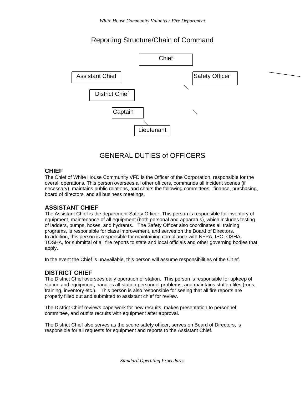# Reporting Structure/Chain of Command



# GENERAL DUTIES of OFFICERS

### **CHIEF**

The Chief of White House Community VFD is the Officer of the Corporation, responsible for the overall operations. This person oversees all other officers, commands all incident scenes (if necessary), maintains public relations, and chairs the following committees: finance, purchasing, board of directors, and all business meetings.

### **ASSISTANT CHIEF**

The Assistant Chief is the department Safety Officer. This person is responsible for inventory of equipment, maintenance of all equipment (both personal and apparatus), which includes testing of ladders, pumps, hoses, and hydrants. The Safety Officer also coordinates all training programs, is responsible for class improvement, and serves on the Board of Directors. In addition, this person is responsible for maintaining compliance with NFPA, ISO, OSHA, TOSHA, for submittal of all fire reports to state and local officials and other governing bodies that apply.

In the event the Chief is unavailable, this person will assume responsibilities of the Chief.

### **DISTRICT CHIEF**

The District Chief oversees daily operation of station. This person is responsible for upkeep of station and equipment, handles all station personnel problems, and maintains station files (runs, training, inventory etc.). This person is also responsible for seeing that all fire reports are properly filled out and submitted to assistant chief for review.

The District Chief reviews paperwork for new recruits, makes presentation to personnel committee, and outfits recruits with equipment after approval.

The District Chief also serves as the scene safety officer, serves on Board of Directors, is responsible for all requests for equipment and reports to the Assistant Chief.

*Standard Operating Procedures*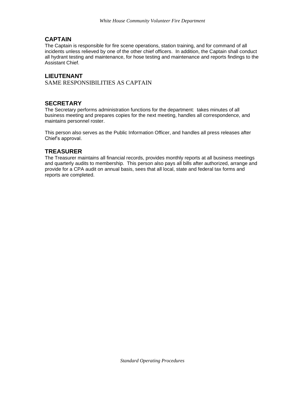## **CAPTAIN**

The Captain is responsible for fire scene operations, station training, and for command of all incidents unless relieved by one of the other chief officers. In addition, the Captain shall conduct all hydrant testing and maintenance, for hose testing and maintenance and reports findings to the Assistant Chief.

### **LIEUTENANT**

SAME RESPONSIBILITIES AS CAPTAIN

### **SECRETARY**

The Secretary performs administration functions for the department: takes minutes of all business meeting and prepares copies for the next meeting, handles all correspondence, and maintains personnel roster.

This person also serves as the Public Information Officer, and handles all press releases after Chief's approval.

### **TREASURER**

The Treasurer maintains all financial records, provides monthly reports at all business meetings and quarterly audits to membership. This person also pays all bills after authorized, arrange and provide for a CPA audit on annual basis, sees that all local, state and federal tax forms and reports are completed.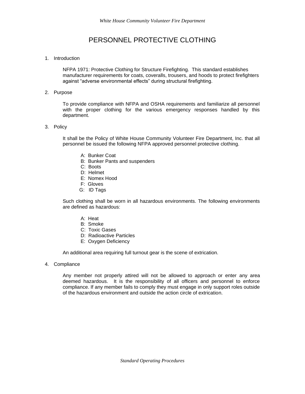# PERSONNEL PROTECTIVE CLOTHING

### 1. Introduction

NFPA 1971: Protective Clothing for Structure Firefighting. This standard establishes manufacturer requirements for coats, coveralls, trousers, and hoods to protect firefighters against "adverse environmental effects" during structural firefighting.

### 2. Purpose

To provide compliance with NFPA and OSHA requirements and familiarize all personnel with the proper clothing for the various emergency responses handled by this department.

#### 3. Policy

It shall be the Policy of White House Community Volunteer Fire Department, Inc. that all personnel be issued the following NFPA approved personnel protective clothing.

- A: Bunker Coat
- B: Bunker Pants and suspenders
- C: Boots
- D: Helmet
- E: Nomex Hood
- F: Gloves
- G: ID Tags

Such clothing shall be worn in all hazardous environments. The following environments are defined as hazardous:

- A: Heat
- B: Smoke
- C: Toxic Gases
- D: Radioactive Particles
- E: Oxygen Deficiency

An additional area requiring full turnout gear is the scene of extrication.

4. Compliance

Any member not properly attired will not be allowed to approach or enter any area deemed hazardous. It is the responsibility of all officers and personnel to enforce compliance. If any member fails to comply they must engage in only support roles outside of the hazardous environment and outside the action circle of extrication.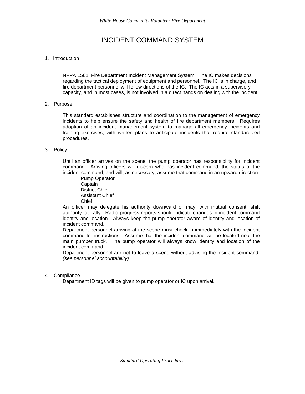# INCIDENT COMMAND SYSTEM

### 1. Introduction

NFPA 1561: Fire Department Incident Management System. The IC makes decisions regarding the tactical deployment of equipment and personnel. The IC is in charge, and fire department personnel will follow directions of the IC. The IC acts in a supervisory capacity, and in most cases, is not involved in a direct hands on dealing with the incident.

#### 2. Purpose

This standard establishes structure and coordination to the management of emergency incidents to help ensure the safety and health of fire department members. Requires adoption of an incident management system to manage all emergency incidents and training exercises, with written plans to anticipate incidents that require standardized procedures.

#### 3. Policy

Until an officer arrives on the scene, the pump operator has responsibility for incident command. Arriving officers will discern who has incident command, the status of the incident command, and will, as necessary, assume that command in an upward direction:

Pump Operator **Captain** District Chief Assistant Chief Chief

An officer may delegate his authority downward or may, with mutual consent, shift authority laterally. Radio progress reports should indicate changes in incident command identity and location. Always keep the pump operator aware of identity and location of incident command.

Department personnel arriving at the scene must check in immediately with the incident command for instructions. Assume that the incident command will be located near the main pumper truck. The pump operator will always know identity and location of the incident command.

Department personnel are not to leave a scene without advising the incident command. *(see personnel accountability)*

#### 4. Compliance

Department ID tags will be given to pump operator or IC upon arrival.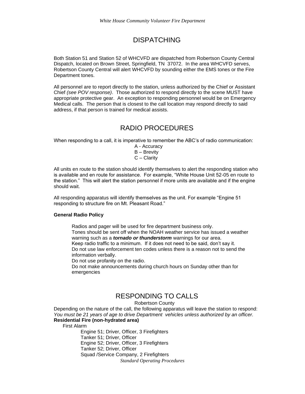# DISPATCHING

Both Station 51 and Station 52 of WHCVFD are dispatched from Robertson County Central Dispatch, located on Brown Street, Springfield, TN 37072. In the area WHCVFD serves, Robertson County Central will alert WHCVFD by sounding either the EMS tones or the Fire Department tones.

All personnel are to report directly to the station, unless authorized by the Chief or Assistant Chief *(see POV response)*. Those authorized to respond directly to the scene MUST have appropriate protective gear. An exception to responding personnel would be on Emergency Medical calls. The person that is closest to the call location may respond directly to said address, if that person is trained for medical assists.

# RADIO PROCEDURES

When responding to a call, it is imperative to remember the ABC's of radio communication:

A - Accuracy B – Brevity C – Clarity

All units en route to the station should identify themselves to alert the responding station who is available and en route for assistance. For example, "White House Unit 52-05 en route to the station." This will alert the station personnel if more units are available and if the engine should wait.

All responding apparatus will identify themselves as the unit. For example "Engine 51 responding to structure fire on Mt. Pleasant Road."

#### **General Radio Policy**

Radios and pager will be used for fire department business only. Tones should be sent off when the NOAH weather service has issued a weather warning such as a *tornado or thunderstorm* warnings for our area. Keep radio traffic to a minimum. If it does not need to be said, don't say it. Do not use law enforcement ten codes unless there is a reason not to send the information verbally.

Do not use profanity on the radio.

Do not make announcements during church hours on Sunday other than for emergencies

# RESPONDING TO CALLS

Robertson County

Depending on the nature of the call, the following apparatus will leave the station to respond: *You must be 21 years of age to drive Department vehicles unless authorized by an officer.* **Residential Fire (non-hydrated area)**

First Alarm

*Standard Operating Procedures* Engine 51; Driver, Officer, 3 Firefighters Tanker 51; Driver, Officer Engine 52; Driver, Officer, 3 Firefighters Tanker 52; Driver, Officer Squad /Service Company, 2 Firefighters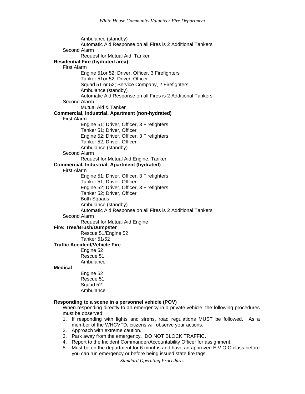Ambulance (standby) Automatic Aid Response on all Fires is 2 Additional Tankers Second Alarm Request for Mutual Aid, Tanker **Residential Fire (hydrated area)** First Alarm Engine 51or 52; Driver, Officer, 3 Firefighters Tanker 51or 52; Driver, Officer Squad 51 or 52; Service Company, 2 Firefighters Ambulance (standby) Automatic Aid Response on all Fires is 2 Additional Tankers Second Alarm Mutual Aid & Tanker **Commercial, Industrial, Apartment (non-hydrated)** First Alarm Engine 51; Driver, Officer, 3 Firefighters Tanker 51; Driver, Officer Engine 52; Driver, Officer, 3 Firefighters Tanker 52; Driver, Officer Ambulance (standby) Second Alarm Request for Mutual Aid Engine, Tanker **Commercial, Industrial, Apartment (hydrated)** First Alarm Engine 51; Driver, Officer, 3 Firefighters Tanker 51; Driver, Officer Engine 52; Driver, Officer, 3 Firefighters Tanker 52; Driver, Officer Both Squads Ambulance (standby) Automatic Aid Response on all Fires is 2 Additional Tankers Second Alarm Request for Mutual Aid Engine **Fire: Tree/Brush/Dumpster** Rescue 51/Engine 52 Tanker 51/52 **Traffic Accident/Vehicle Fire** Engine 52 Rescue 51 Ambulance **Medical** Engine 52 Rescue 51 Squad 52 Ambulance **Responding to a scene in a personnel vehicle (POV)**

When responding directly to an emergency in a private vehicle, the following procedures must be observed:

- 1. If responding with lights and sirens, road regulations MUST be followed. As a member of the WHCVFD, citizens will observe your actions.
- 2. Approach with extreme caution.
- 3. Park away from the emergency. DO NOT BLOCK TRAFFIC.
- 4. Report to the Incident Commander/Accountability Officer for assignment.
- 5. Must be on the department for 6 months and have an approved E.V.O.C class before you can run emergency or before being issued state fire tags.

*Standard Operating Procedures*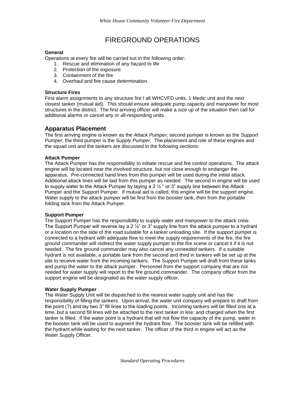# FIREGROUND OPERATIONS

### **General**

Operations at every fire will be carried out in the following order:

- 1. Rescue and elimination of any hazard to life
- 2. Protection of the exposure
- 3. Containment of the fire
- 4. Overhaul and fire cause determination.

### **Structure Fires**

First alarm assignments to any structure fire I all WHCVFD units, 1 Medic unit and the next closest tanker (mutual aid). This should ensure adequate pump capacity and manpower for most structures in the district. The first arriving officer will make a size up of the situation then call for additional alarms or cancel any or all-responding units.

### **Apparatus Placement**

The first arriving engine is known as the *Attack Pumper*; second pumper is known as the *Support Pumper*, the third pumper is the S*upply Pumper*. The placement and role of these engines and the squad unit and the tankers are discussed in the following sections:

### **Attack Pumper**

The Attack Pumper has the responsibility to initiate rescue and fire control operations. The attack engine will be located near the involved structure, but not close enough to endanger the apparatus. Pre-connected hand lines from this pumper will be used during the initial attack. Additional attack lines will be laid from this pumper as needed. The second in engine will be used to supply water to the Attack Pumper by laying a 2 ½ " or 3" supply line between the Attack Pumper and the Support Pumper. If mutual aid is called, this engine will be the support engine. Water supply to the attack pumper will be first from the booster tank, then from the portable folding tank from the Attack Pumper.

#### **Support Pumper**

The Support Pumper has the responsibility to supply water and manpower to the attack crew. The Support Pumper will reverse lay a  $2\frac{1}{2}$ " or 3" supply line from the attack pumper to a hydrant or a location on the side of the road suitable for a tanker unloading site. If the support pumper is connected to a hydrant with adequate flow to meet the supply requirements of the fire, the fire ground commander will redirect the water supply pumper to the fire scene or cancel it if it is not needed. The fire ground commander may also cancel any unneeded tankers. If a suitable hydrant is not available, a portable tank from the second and third in tankers will be set up at the site to receive water from the incoming tankers. The Support Pumper will draft from these tanks and pump the water to the attack pumper. Personnel from the support company that are not needed for water supply will report to the fire ground commander. The company officer from the support engine will be designated as the water supply officer.

#### **Water Supply Pumper**

The Water Supply Unit will be dispatched to the nearest water supply unit and has the responsibility of filling the tankers. Upon arrival, the water unit company will prepare to draft from the point (?) and lay two 3" fill lines to the loading points. Incoming tankers will be filled one at a time, but a second fill lines will be attached to the next tanker in line, and charged when the first tanker is filled. If the water point is a hydrant that will not flow the capacity of the pump, water in the booster tank will be used to augment the hydrant flow. The booster tank will be refilled with the hydrant while waiting for the next tanker. The officer of the third in engine will act as the Water Supply Officer.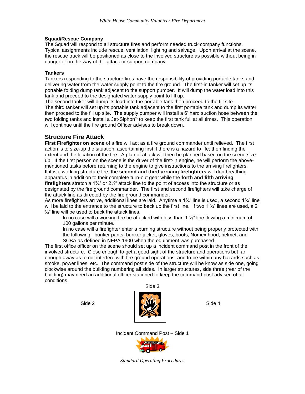### **Squad/Rescue Company**

The Squad will respond to all structure fires and perform needed truck company functions. Typical assignments include rescue, ventilation, lighting and salvage. Upon arrival at the scene, the rescue truck will be positioned as close to the involved structure as possible without being in danger or on the way of the attack or support company.

### **Tankers**

Tankers responding to the structure fires have the responsibility of providing portable tanks and delivering water from the water supply point to the fire ground. The first-in tanker will set up its portable folding dump tank adjacent to the support pumper. It will dump the water load into this tank and proceed to the designated water supply point to fill up.

The second tanker will dump its load into the portable tank then proceed to the fill site. The third tanker will set up its portable tank adjacent to the first portable tank and dump its water then proceed to the fill up site. The supply pumper will install a 6' hard suction hose between the two folding tanks and install a Jet-Siphon<sup>®</sup> to keep the first tank full at all times. This operation will continue until the fire ground Officer advises to break down.

### **Structure Fire Attack**

**First Firefighter on scene** of a fire will act as a fire ground commander until relieved. The first action is to size-up the situation, ascertaining first if there is a hazard to life; then finding the extent and the location of the fire. A plan of attack will then be planned based on the scene size up. If the first person on the scene is the driver of the first-in engine, he will perform the abovementioned tasks before returning to the engine to give instructions to the arriving firefighters. If it is a working structure fire, the **second and third arriving firefighters** will don breathing apparatus in addition to their complete turn-out gear while the **forth and fifth arriving firefighters** stretch a 1¾" or 2½" attack line to the point of access into the structure or as designated by the fire ground commander. The first and second firefighters will take charge of the attack line as directed by the fire ground commander.

As more firefighters arrive, additional lines are laid. Anytime a 1¼" line is used, a second 1¾" line will be laid to the entrance to the structure to back up the first line. If two 1  $\frac{3}{4}$ " lines are used, a 2  $\frac{1}{2}$ " line will be used to back the attack lines.

In no case will a working fire be attacked with less than 1  $\frac{1}{2}$ " line flowing a minimum of 100 gallons per minute.

In no case will a firefighter enter a burning structure without being properly protected with the following: bunker pants, bunker jacket, gloves, boots, Nomex hood, helmet, and SCBA as defined in NFPA 1900 when the equipment was purchased.

The first office officer on the scene should set up a incident command post in the front of the involved structure. Close enough to get a good sight of the structure and operations but far enough away as to not interfere with fire ground operations, and to be within any hazards such as smoke, power lines, etc. The command post side of the structure will be know as side one, going clockwise around the building numbering all sides. In larger structures, side three (rear of the building) may need an additional officer stationed to keep the command post advised of all conditions.



Incident Command Post – Side 1



*Standard Operating Procedures*